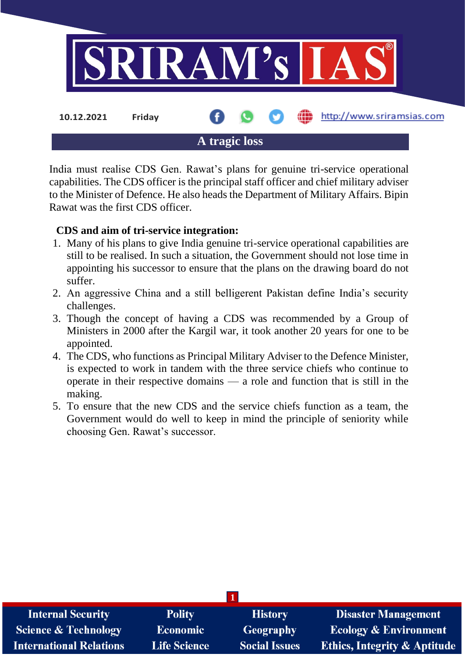

India must realise CDS Gen. Rawat's plans for genuine tri-service operational capabilities. The CDS officer is the principal staff officer and chief military adviser to the Minister of Defence. He also heads the Department of Military Affairs. Bipin Rawat was the first CDS officer.

## **CDS and aim of tri-service integration:**

- 1. Many of his plans to give India genuine tri-service operational capabilities are still to be realised. In such a situation, the Government should not lose time in appointing his successor to ensure that the plans on the drawing board do not suffer.
- 2. An aggressive China and a still belligerent Pakistan define India's security challenges.
- 3. Though the concept of having a CDS was recommended by a Group of Ministers in 2000 after the Kargil war, it took another 20 years for one to be appointed.
- 4. The CDS, who functions as Principal Military Adviser to the Defence Minister, is expected to work in tandem with the three service chiefs who continue to operate in their respective domains — a role and function that is still in the making.
- 5. To ensure that the new CDS and the service chiefs function as a team, the Government would do well to keep in mind the principle of seniority while choosing Gen. Rawat's successor.

| <b>Internal Security</b>       | <b>Polity</b>       | <b>History</b>       | <b>Disaster Management</b>              |  |  |
|--------------------------------|---------------------|----------------------|-----------------------------------------|--|--|
| Science & Technology           | <b>Economic</b>     | Geography            | <b>Ecology &amp; Environment</b>        |  |  |
| <b>International Relations</b> | <b>Life Science</b> | <b>Social Issues</b> | <b>Ethics, Integrity &amp; Aptitude</b> |  |  |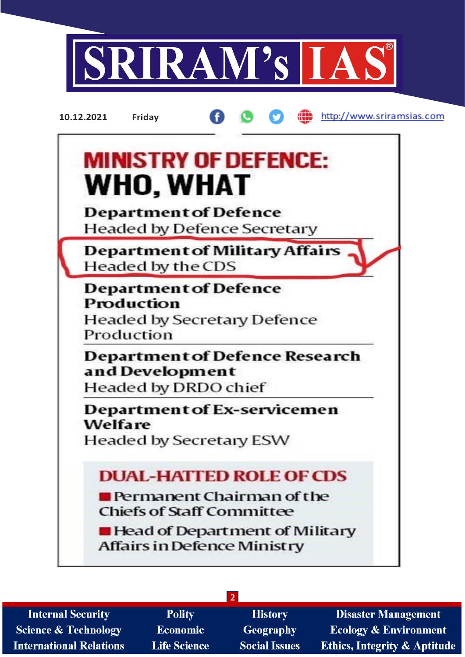

**10.12.2021 Friday**

æ http://www.sriramsias.com



**2** Polity **Internal Security History Disaster Management Economic Science & Technology Geography Ecology & Environment International Relations Life Science Social Issues Ethics, Integrity & Aptitude**